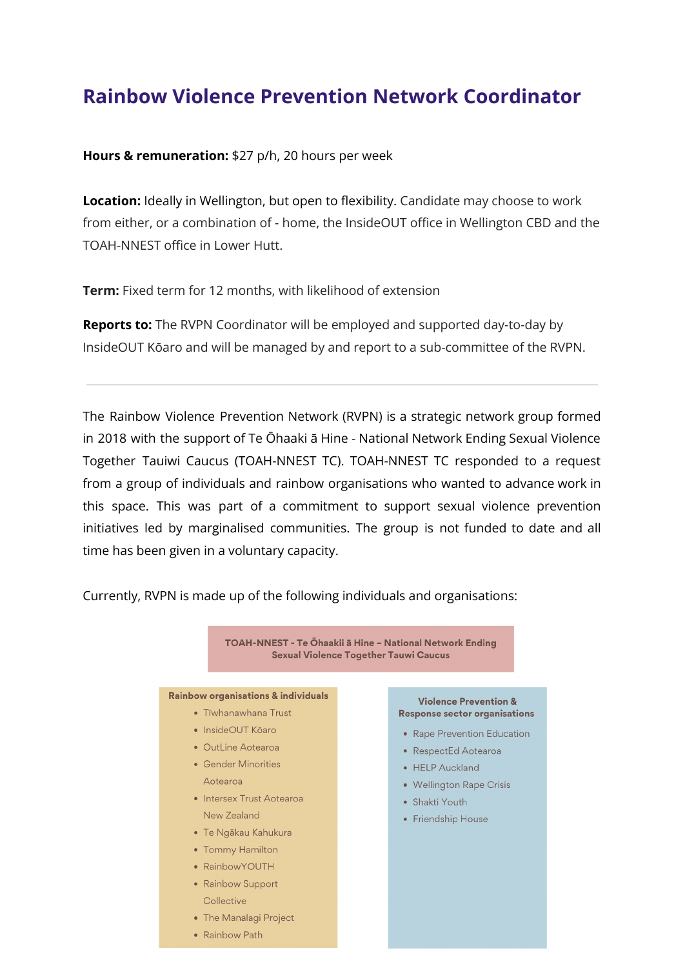# **Rainbow Violence Prevention Network Coordinator**

**Hours & remuneration:** \$27 p/h, 20 hours per week

**Location:** Ideally in Wellington, but open to flexibility. Candidate may choose to work from either, or a combination of - home, the InsideOUT office in Wellington CBD and the TOAH-NNEST office in Lower Hutt.

**Term:** Fixed term for 12 months, with likelihood of extension

**Reports to:** The RVPN Coordinator will be employed and supported day-to-day by InsideOUT Kōaro and will be managed by and report to a sub-committee of the RVPN.

The Rainbow Violence Prevention Network (RVPN) is a strategic network group formed in 2018 with the support of Te Ōhaaki ā Hine - National Network Ending Sexual Violence Together Tauiwi Caucus (TOAH-NNEST TC). TOAH-NNEST TC responded to a request from a group of individuals and rainbow organisations who wanted to advance work in this space. This was part of a commitment to support sexual violence prevention initiatives led by marginalised communities. The group is not funded to date and all time has been given in a voluntary capacity.

Currently, RVPN is made up of the following individuals and organisations:

TOAH-NNEST - Te Ōhaakii ā Hine - National Network Ending **Sexual Violence Together Tauwi Caucus** 

#### Rainbow organisations & individuals

- Tīwhanawhana Trust
- · InsideOUT Kōaro
- OutLine Aotearoa
- Gender Minorities Aotearoa
- Intersex Trust Aotearoa New Zealand
- · Te Ngākau Kahukura
- Tommy Hamilton
- RainbowYOUTH
- Rainbow Support Collective
- The Manalagi Project
- Rainbow Path

#### **Violence Prevention & Response sector organisations**

- Rape Prevention Education
- RespectEd Aotearoa
- HELP Auckland
- Wellington Rape Crisis
- Shakti Youth
- Friendship House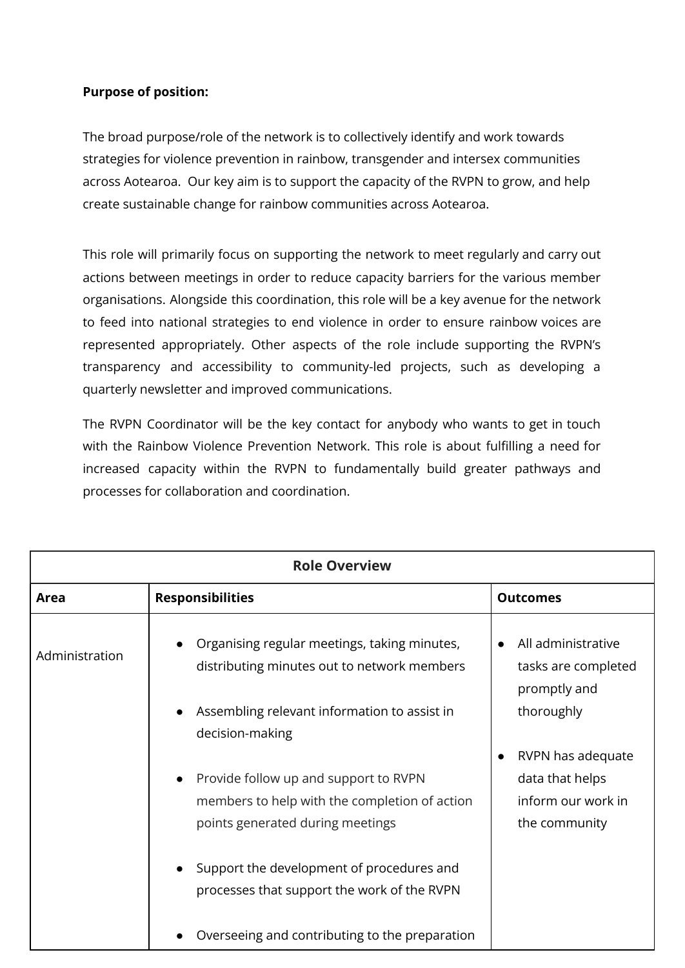### **Purpose of position:**

The broad purpose/role of the network is to collectively identify and work towards strategies for violence prevention in rainbow, transgender and intersex communities across Aotearoa. Our key aim is to support the capacity of the RVPN to grow, and help create sustainable change for rainbow communities across Aotearoa.

This role will primarily focus on supporting the network to meet regularly and carry out actions between meetings in order to reduce capacity barriers for the various member organisations. Alongside this coordination, this role will be a key avenue for the network to feed into national strategies to end violence in order to ensure rainbow voices are represented appropriately. Other aspects of the role include supporting the RVPN's transparency and accessibility to community-led projects, such as developing a quarterly newsletter and improved communications.

The RVPN Coordinator will be the key contact for anybody who wants to get in touch with the Rainbow Violence Prevention Network. This role is about fulfilling a need for increased capacity within the RVPN to fundamentally build greater pathways and processes for collaboration and coordination.

| <b>Role Overview</b> |                                                                                                                            |                                                                                          |  |
|----------------------|----------------------------------------------------------------------------------------------------------------------------|------------------------------------------------------------------------------------------|--|
| Area                 | <b>Responsibilities</b>                                                                                                    | <b>Outcomes</b>                                                                          |  |
| Administration       | Organising regular meetings, taking minutes,<br>distributing minutes out to network members                                | All administrative<br>tasks are completed<br>promptly and                                |  |
|                      | Assembling relevant information to assist in<br>decision-making                                                            | thoroughly                                                                               |  |
|                      | Provide follow up and support to RVPN<br>members to help with the completion of action<br>points generated during meetings | RVPN has adequate<br>$\bullet$<br>data that helps<br>inform our work in<br>the community |  |
|                      | Support the development of procedures and<br>processes that support the work of the RVPN                                   |                                                                                          |  |
|                      | Overseeing and contributing to the preparation                                                                             |                                                                                          |  |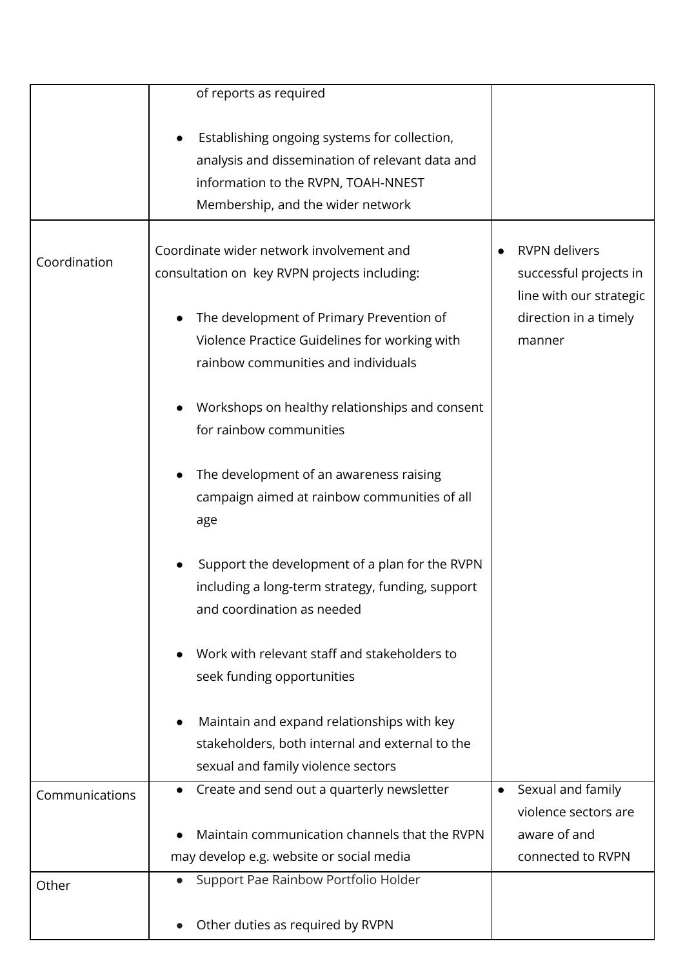|                | of reports as required                           |                                |
|----------------|--------------------------------------------------|--------------------------------|
|                | Establishing ongoing systems for collection,     |                                |
|                | analysis and dissemination of relevant data and  |                                |
|                | information to the RVPN, TOAH-NNEST              |                                |
|                | Membership, and the wider network                |                                |
|                |                                                  |                                |
|                | Coordinate wider network involvement and         | <b>RVPN</b> delivers           |
| Coordination   | consultation on key RVPN projects including:     | successful projects in         |
|                |                                                  | line with our strategic        |
|                | The development of Primary Prevention of         | direction in a timely          |
|                | Violence Practice Guidelines for working with    | manner                         |
|                | rainbow communities and individuals              |                                |
|                |                                                  |                                |
|                | Workshops on healthy relationships and consent   |                                |
|                | for rainbow communities                          |                                |
|                |                                                  |                                |
|                | The development of an awareness raising          |                                |
|                | campaign aimed at rainbow communities of all     |                                |
|                | age                                              |                                |
|                |                                                  |                                |
|                | Support the development of a plan for the RVPN   |                                |
|                | including a long-term strategy, funding, support |                                |
|                | and coordination as needed                       |                                |
|                |                                                  |                                |
|                | Work with relevant staff and stakeholders to     |                                |
|                | seek funding opportunities                       |                                |
|                |                                                  |                                |
|                | Maintain and expand relationships with key       |                                |
|                | stakeholders, both internal and external to the  |                                |
|                | sexual and family violence sectors               |                                |
| Communications | Create and send out a quarterly newsletter       | Sexual and family<br>$\bullet$ |
|                |                                                  | violence sectors are           |
|                | Maintain communication channels that the RVPN    | aware of and                   |
|                | may develop e.g. website or social media         | connected to RVPN              |
| Other          | Support Pae Rainbow Portfolio Holder             |                                |
|                |                                                  |                                |
|                | Other duties as required by RVPN                 |                                |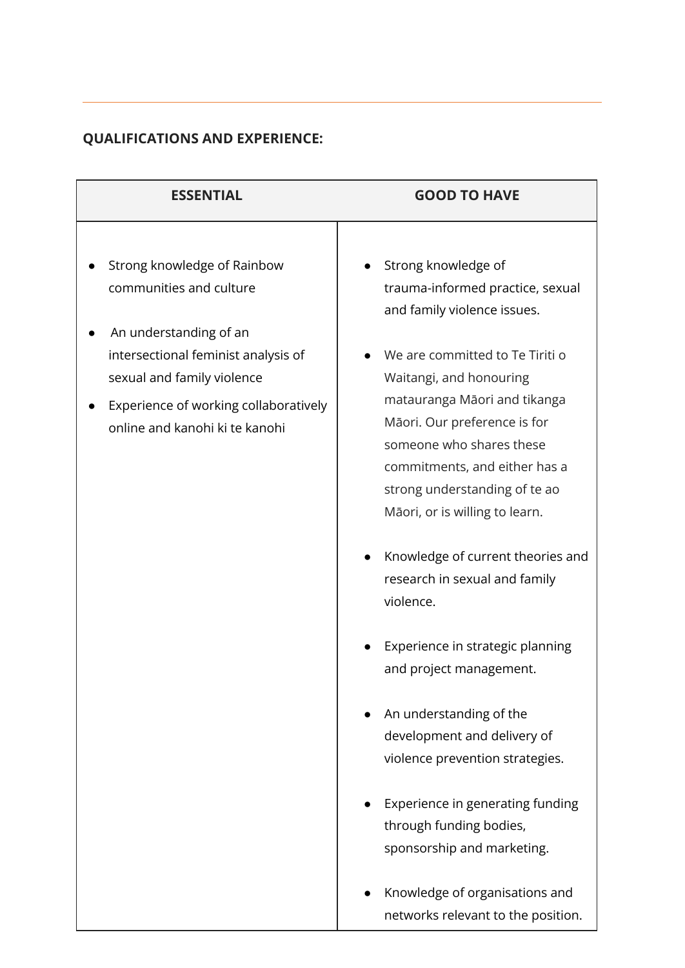## **QUALIFICATIONS AND EXPERIENCE:**

| <b>ESSENTIAL</b>                                                        | <b>GOOD TO HAVE</b>                                                             |  |
|-------------------------------------------------------------------------|---------------------------------------------------------------------------------|--|
| Strong knowledge of Rainbow                                             | Strong knowledge of                                                             |  |
| communities and culture                                                 | trauma-informed practice, sexual<br>and family violence issues.                 |  |
| An understanding of an                                                  |                                                                                 |  |
| intersectional feminist analysis of<br>sexual and family violence       | We are committed to Te Tiriti o<br>Waitangi, and honouring                      |  |
| Experience of working collaboratively<br>online and kanohi ki te kanohi | matauranga Māori and tikanga<br>Māori. Our preference is for                    |  |
|                                                                         | someone who shares these<br>commitments, and either has a                       |  |
|                                                                         | strong understanding of te ao                                                   |  |
|                                                                         | Māori, or is willing to learn.                                                  |  |
|                                                                         | Knowledge of current theories and<br>research in sexual and family<br>violence. |  |
|                                                                         | Experience in strategic planning<br>and project management.                     |  |
|                                                                         | An understanding of the                                                         |  |
|                                                                         | development and delivery of                                                     |  |
|                                                                         | violence prevention strategies.                                                 |  |
|                                                                         | Experience in generating funding                                                |  |
|                                                                         | through funding bodies,<br>sponsorship and marketing.                           |  |
|                                                                         | Knowledge of organisations and<br>networks relevant to the position.            |  |